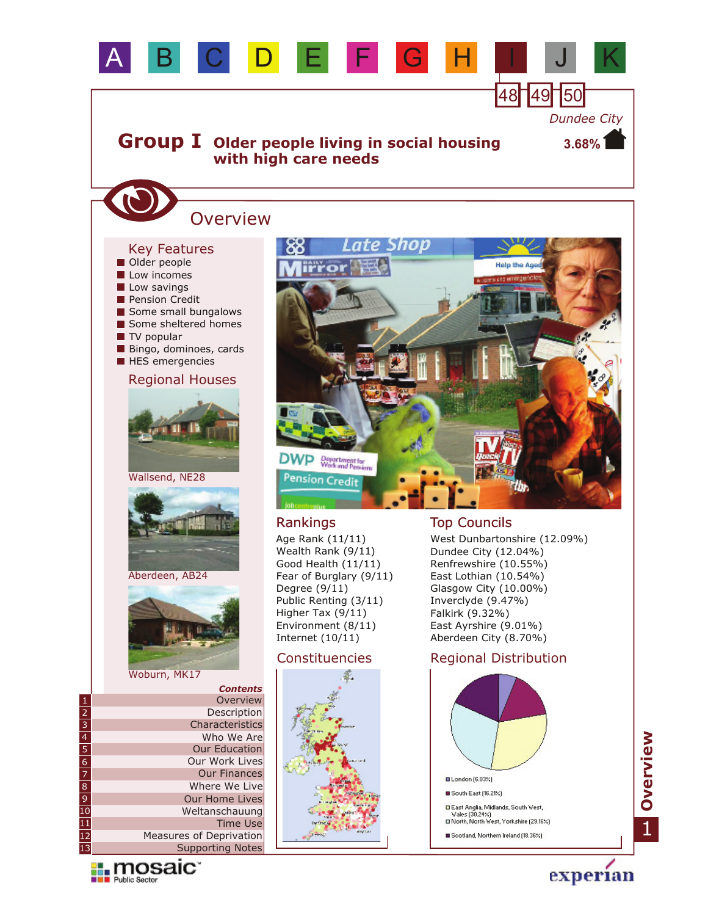

Age Rank (11/11) Wealth Rank (9/11) Good Health (11/11) Fear of Burglary (9/11) Degree (9/11) Public Renting (3/11) Higher Tax (9/11) Environment (8/11) Internet (10/11)

## Constituencies



## Rankings Top Councils

West Dunbartonshire (12.09%) Dundee City (12.04%) Renfrewshire (10.55%) East Lothian (10.54%) Glasgow City (10.00%) Inverclyde (9.47%) Falkirk (9.32%) East Ayrshire (9.01%) Aberdeen City (8.70%)

## Regional Distribution





experian

*Contents* Description Overview Characteristics Who We Are Our Work Lives Our Education Our Finances Where We Live Our Home Lives Weltanschauung Supporting Notes Measures of Deprivation Time Use 1 2 3 4 5 6 7 8 9 10 11 12 13

Woburn, MK17

Aberdeen, AB24

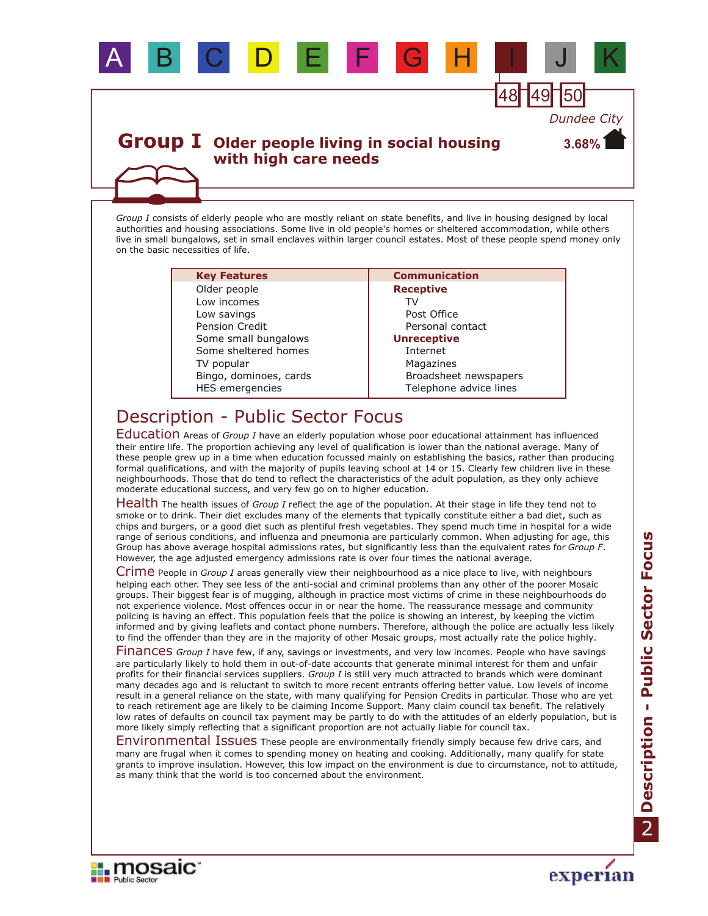

## **Group I** Older people living in social housing **with high care needs**

*Group I* consists of elderly people who are mostly reliant on state benefits, and live in housing designed by local authorities and housing associations. Some live in old people's homes or sheltered accommodation, while others live in small bungalows, set in small enclaves within larger council estates. Most of these people spend money only on the basic necessities of life.

| <b>Key Features</b>    | <b>Communication</b>   |
|------------------------|------------------------|
| Older people           | <b>Receptive</b>       |
| Low incomes            | TV                     |
| Low savings            | Post Office            |
| <b>Pension Credit</b>  | Personal contact       |
| Some small bungalows   | <b>Unreceptive</b>     |
| Some sheltered homes   | Internet               |
| TV popular             | Magazines              |
| Bingo, dominoes, cards | Broadsheet newspapers  |
| HES emergencies        | Telephone advice lines |
|                        |                        |

# Description - Public Sector Focus

Education Areas of *Group I* have an elderly population whose poor educational attainment has influenced their entire life. The proportion achieving any level of qualification is lower than the national average. Many of these people grew up in a time when education focussed mainly on establishing the basics, rather than producing formal qualifications, and with the majority of pupils leaving school at 14 or 15. Clearly few children live in these neighbourhoods. Those that do tend to reflect the characteristics of the adult population, as they only achieve moderate educational success, and very few go on to higher education.

Health The health issues of *Group I* reflect the age of the population. At their stage in life they tend not to smoke or to drink. Their diet excludes many of the elements that typically constitute either a bad diet, such as chips and burgers, or a good diet such as plentiful fresh vegetables. They spend much time in hospital for a wide range of serious conditions, and influenza and pneumonia are particularly common. When adjusting for age, this Group has above average hospital admissions rates, but significantly less than the equivalent rates for *Group F*. However, the age adjusted emergency admissions rate is over four times the national average.

Crime People in *Group I* areas generally view their neighbourhood as a nice place to live, with neighbours helping each other. They see less of the anti-social and criminal problems than any other of the poorer Mosaic groups. Their biggest fear is of mugging, although in practice most victims of crime in these neighbourhoods do not experience violence. Most offences occur in or near the home. The reassurance message and community policing is having an effect. This population feels that the police is showing an interest, by keeping the victim informed and by giving leaflets and contact phone numbers. Therefore, although the police are actually less likely to find the offender than they are in the majority of other Mosaic groups, most actually rate the police highly.

Finances Group I have few, if any, savings or investments, and very low incomes. People who have savings are particularly likely to hold them in out-of-date accounts that generate minimal interest for them and unfair profits for their financial services suppliers. *Group I* is still very much attracted to brands which were dominant many decades ago and is reluctant to switch to more recent entrants offering better value. Low levels of income result in a general reliance on the state, with many qualifying for Pension Credits in particular. Those who are yet to reach retirement age are likely to be claiming Income Support. Many claim council tax benefit. The relatively low rates of defaults on council tax payment may be partly to do with the attitudes of an elderly population, but is more likely simply reflecting that a significant proportion are not actually liable for council tax.

Environmental Issues These people are environmentally friendly simply because few drive cars, and many are frugal when it comes to spending money on heating and cooking. Additionally, many qualify for state grants to improve insulation. However, this low impact on the environment is due to circumstance, not to attitude, as many think that the world is too concerned about the environment.



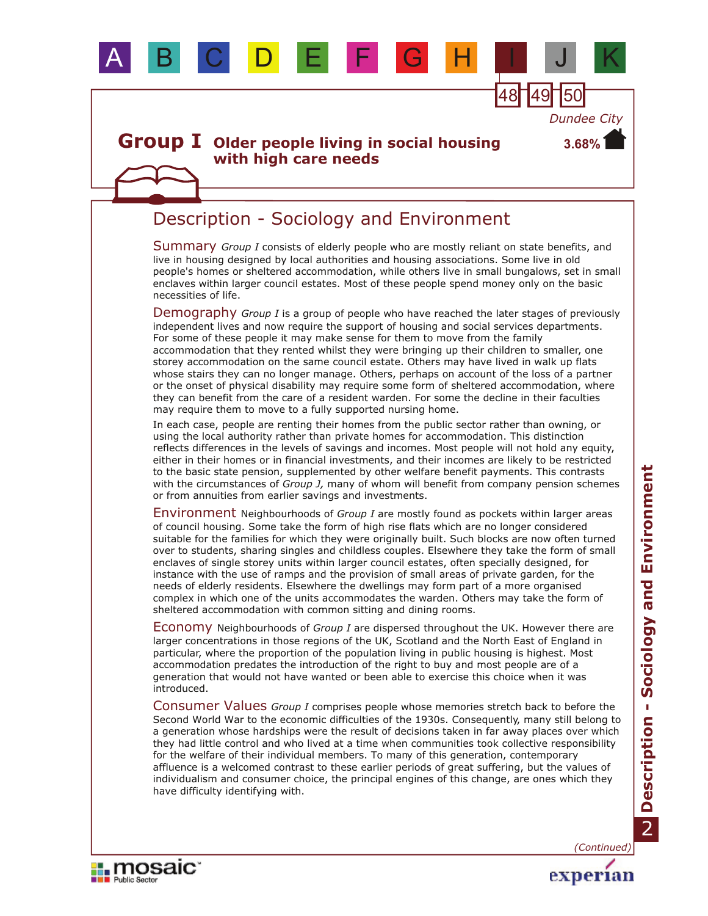

# Description - Sociology and Environment

Summary Group I consists of elderly people who are mostly reliant on state benefits, and live in housing designed by local authorities and housing associations. Some live in old people's homes or sheltered accommodation, while others live in small bungalows, set in small enclaves within larger council estates. Most of these people spend money only on the basic necessities of life.

Demography Group I is a group of people who have reached the later stages of previously independent lives and now require the support of housing and social services departments. For some of these people it may make sense for them to move from the family accommodation that they rented whilst they were bringing up their children to smaller, one storey accommodation on the same council estate. Others may have lived in walk up flats whose stairs they can no longer manage. Others, perhaps on account of the loss of a partner or the onset of physical disability may require some form of sheltered accommodation, where they can benefit from the care of a resident warden. For some the decline in their faculties may require them to move to a fully supported nursing home.

In each case, people are renting their homes from the public sector rather than owning, or using the local authority rather than private homes for accommodation. This distinction reflects differences in the levels of savings and incomes. Most people will not hold any equity, either in their homes or in financial investments, and their incomes are likely to be restricted to the basic state pension, supplemented by other welfare benefit payments. This contrasts with the circumstances of *Group J,* many of whom will benefit from company pension schemes or from annuities from earlier savings and investments.

Environment Neighbourhoods of *Group I* are mostly found as pockets within larger areas of council housing. Some take the form of high rise flats which are no longer considered suitable for the families for which they were originally built. Such blocks are now often turned over to students, sharing singles and childless couples. Elsewhere they take the form of small enclaves of single storey units within larger council estates, often specially designed, for instance with the use of ramps and the provision of small areas of private garden, for the needs of elderly residents. Elsewhere the dwellings may form part of a more organised complex in which one of the units accommodates the warden. Others may take the form of sheltered accommodation with common sitting and dining rooms.

Economy Neighbourhoods of *Group I* are dispersed throughout the UK. However there are larger concentrations in those regions of the UK, Scotland and the North East of England in particular, where the proportion of the population living in public housing is highest. Most accommodation predates the introduction of the right to buy and most people are of a generation that would not have wanted or been able to exercise this choice when it was introduced.

Consumer Values *Group I* comprises people whose memories stretch back to before the Second World War to the economic difficulties of the 1930s. Consequently, many still belong to a generation whose hardships were the result of decisions taken in far away places over which they had little control and who lived at a time when communities took collective responsibility for the welfare of their individual members. To many of this generation, contemporary affluence is a welcomed contrast to these earlier periods of great suffering, but the values of individualism and consumer choice, the principal engines of this change, are ones which they have difficulty identifying with.

**II.** mosaic

**EN Public Sector** 

*(Continued)*